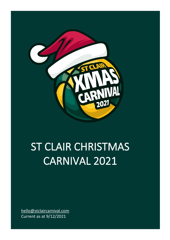

# ST CLAIR CHRISTMAS CARNIVAL 2021

[hello@stclaircarnival.com](mailto:hello@stclaircarnival.com) Current as at 9/12/2021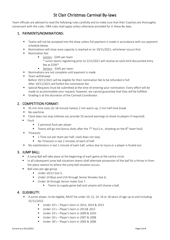# St Clair Christmas Carnival By-laws

Team officials are advised to read the following rules carefully and to make sure that their Coaches are thoroughly conversant with the rules. FiBA rules shall apply unless otherwise provided for in these By-laws.

### 1. PAYMENTS/NOMINATIONS:

- Teams will not be accepted into the draw unless full payment is made in accordance with our payment schedule below.
- Nominations will close once capacity is reached or on 19/11/2021, whichever occurs first.
- Nomination fee:
	- Juniors \$345 per team \* Junior teams registering prior to 5/11/2021 will receive an early bird discounted entry fee at \$295\*
	- Seniors \$345 per team
- Nominations are not complete until payment is made
- **■** Team withdrawal Before 19/11/2021 will be eligible for their nomination fee to be refunded in full After 19/11/2021 will forfeit the nomination fee
- Special Requests must be submitted at the time of entering your nomination. Every effort will be made to accommodate your request; however, we cannot guarantee that they will be fulfilled.
- Grading is at the discretion of the Carnival Coordinator.

#### 2. COMPETITION FORMAT:

- 45 min time slots (2x 18-minute halves) 2 min warm up, 2 min half time break
- No overtime
- Clock does not stop (referee can provide 10 second warnings to shoot to players if required)
- Fouls
	- 5 personal fouls per player
	- **E** Teams will go into bonus shots after the  $7<sup>th</sup>$  foul (i.e., shooting on the  $8<sup>th</sup>$  team foul).
- **■** Timeouts:
	- 1 Time out per team per half, clock does not stop.
	- No Timeouts in last 2 minutes of each of half.
- No substitutions in last 1 minute of each half, unless due to injury or a player is fouled out.

#### 3. JUMP BALL:

- A Jump Ball will take place at the beginning of each game at the centre circle.
- In all subsequent jump ball situations teams shall alternate possession of the ball for a throw-in from the place nearest to where the jump ball situation occurs.
- Ball sizes per age group
	- $\blacksquare$  Under 10/12 Size 5,
	- Under 14 Boys and U14 through Senior females Size 6,
	- Under 16 through Senior males Size 7.
		- Teams to supply game ball and umpire will choose a ball.

#### 4. ELIGIBILITY:

- A junior player, to be eligible, MUST be under 10, 12, 14, 16 or 18 years of age up to and including 31/12/2022.
	- Under 10's Player's born in 2013, 2014 & 2015
	- $\blacksquare$  Under  $12's$  Player's born in 2011& 2012
	- Under 14's Player's born in 2009 & 2010
	- Under 16's Player's born in 2007 & 2008
	- Under 18's Player's born in 2005 & 2006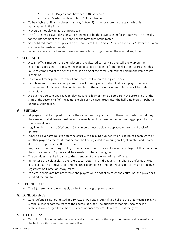- Senior's Player's born between 2004 or earlier
- Senior Master's Player's born 1986 and earlier
- To be eligible for finals, a player must play in two (2) games or more for the team which is participating in the finals.
- Players cannot play in more than one team.
- The first team a player plays for will be deemed to be the player's team for the carnival. The penalty for the infringement of this rule shall be the forfeiture of the match.
- **E** Senior Mixed teams, the 5 players on the court are to be 2 male, 2 female and the 5<sup>th</sup> player teams can choose either male or female.
- Junior domestic mixed teams there is no restrictions for genders on the court at any time.

# 5. SCORESHEET:

- A team official must ensure their players are registered correctly so they will show up on the electronic scoresheet. If a player needs to be added or deleted from the electronic scoresheet this must be completed at the bench at the beginning of the game, you cannot hold up the game to get players on.
- Team A will manage the scoresheet and Team B will operate the game clock.
- Each team must provide a competent scorer for each game in which that team plays. The penalty for infringement of this rule is five points awarded to the opponent's score, this score will be added immediately.
- A player not present and ready to play must have his/her name deleted from the score sheet at the start of the second half of the game. Should such a player arrive after the half time break, he/she will not be eligible to play.

#### 6. UNIFORM:

- All players must be in predominantly the same colour top and shorts, there is no restrictions during the carnival that all teams must wear the same type of uniform on the bottom. Leggings and footy shorts are allowed.
- Legal numbers shall be 00, 0 and 1-99. Numbers must be clearly displayed on front and back of uniform.
- Where a player attempts to enter the court with a playing number which is being/has been worn by another player on the court, that person shall be regarded as wearing an illegal number and is to be dealt with as provided in these by-laws.
- Any player who is wearing an Illegal number shall have a personal foul recorded against their name on the score sheet and 2 points shall be awarded to the opposing team.
- The penalties must be brought to the attention of the referee before half time.
- In the case of a colour clash, the referees will determine if the teams shall change uniforms or wear bibs. If a team has a reversable and the other team doesn't then the reversable top must be changed, regardless of 'Home' or 'Away' teams.
- Pockets in shorts are not acceptable and players will be not allowed on the court until the player has rectified their uniform.

# 7. 3 POINT RULE:

■ The 3 (three) point rule will apply to the U14's age group and above.

# 8. ZONE DEFENCE:

■ Zone Defence is not permitted in U10, U12 & U14 age groups. If you believe the other team is playing a zone, please report the team to the court supervisor. The punishment for playing a zone is a technical foul charged to the bench. Repeat offences may result in a forfeit of the game.

# 9. TECH FOULS:

■ Technical fouls are recorded as a technical and one shot for the opposition team, and possession of the ball for a throw-in from the centre line.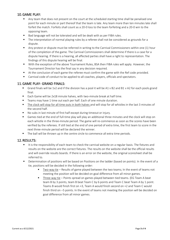# 10.GAME PLAY:

- Any team that does not present on the court at the scheduled starting time shall be penalised one point for each minute or part thereof that the team is late. Any team more than ten minutes late shall forfeit the match. Forfeits shall count as a 20-0 loss to the team forfeiting and a 20-0 win to the opposing team.
- Bad language will not be tolerated and will be dealt with as per FIBA rules.
- The interpretation of normal playing rules by a referee shall not be considered as grounds for a dispute.
- Any protest or dispute must be referred in writing to the Carnival Commissioners within one (1) hour of the completion of the game. The Carnival Commissioners shall determine if there is a case for a dispute hearing. If there is a hearing, all affected parties shall have a right to representation. The findings of this dispute hearing will be final.
- With the exception of the above Tournament Rules, BSA then FIBA rules will apply. However, the Tournament Director has the final say in any decision required.
- At the conclusion of each game the referee must confirm the game with the Ref code provided.
- Carnival code of conduct to be applied to all coaches, players, officials and spectators.

#### 11.GAME PLAY- GRAND FINALS:

- Grand finals will be 1v2 and if the division has a pool it will be A1 v B2 and B1 v A2 for each pools grand final.
- Each Game will be 2x18 minute halves, with two-minute break at half time.
- Teams may have 1 time out each per half. Each of one minute duration.
- The clock will stop for all time outs in both halves and will stop for all whistles in the last 3 minutes of the second half.
- No subs in last minute of first half except during timeout or injury.
- Games tied at the end of full-time play will play an additional three minutes and the clock will stop on each whistle in the three-minute period. The game will re-commence as soon as the scores have been verified by the referees. If still tied at the end of one period of extra time, the first team to score in the next three-minute period will be declared the winner.
- The ball will be thrown up in the centre circle to commence all extra time periods.

# 12.RESULTS:

- It is the responsibility of each team to check the carnival website on a regular basis. The fixtures and results on the website are the correct fixtures. The results on the website shall be the official results and will override results boards. If there is an error on the website, the original scoresheet shall be referred to.
- Determination of positions will be based on Positions on the ladder (based on points). In the event of a tie, positions will be decided in the following order:
	- Two-way tie Results of game played between the two teams; In the event of teams not meeting the position will be decided on goal difference from all minor games.
	- **Three-way tie Points spread on games played between tied teams. (EG Team A beat** team B by 3 points, team B beat Team C by 6 points and Team C beat Team A by 1 point. Teams B would finish first on +3, Team A would finish second on +2 and Team C would finish third on –5 points. In the event of teams not meeting the position will be decided on goal difference from all minor games.